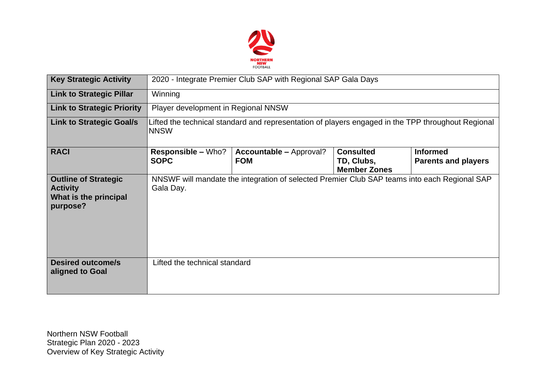

| <b>Key Strategic Activity</b>                                                       | 2020 - Integrate Premier Club SAP with Regional SAP Gala Days                                                     |                                                                                              |                                                       |                                               |  |  |  |  |
|-------------------------------------------------------------------------------------|-------------------------------------------------------------------------------------------------------------------|----------------------------------------------------------------------------------------------|-------------------------------------------------------|-----------------------------------------------|--|--|--|--|
| <b>Link to Strategic Pillar</b>                                                     | Winning                                                                                                           |                                                                                              |                                                       |                                               |  |  |  |  |
| <b>Link to Strategic Priority</b>                                                   | Player development in Regional NNSW                                                                               |                                                                                              |                                                       |                                               |  |  |  |  |
| <b>Link to Strategic Goal/s</b>                                                     | Lifted the technical standard and representation of players engaged in the TPP throughout Regional<br><b>NNSW</b> |                                                                                              |                                                       |                                               |  |  |  |  |
| <b>RACI</b>                                                                         | <b>Responsible – Who?</b><br><b>SOPC</b>                                                                          | <b>Accountable – Approval?</b><br><b>FOM</b>                                                 | <b>Consulted</b><br>TD, Clubs,<br><b>Member Zones</b> | <b>Informed</b><br><b>Parents and players</b> |  |  |  |  |
| <b>Outline of Strategic</b><br><b>Activity</b><br>What is the principal<br>purpose? | Gala Day.                                                                                                         | NNSWF will mandate the integration of selected Premier Club SAP teams into each Regional SAP |                                                       |                                               |  |  |  |  |
| <b>Desired outcome/s</b><br>aligned to Goal                                         | Lifted the technical standard                                                                                     |                                                                                              |                                                       |                                               |  |  |  |  |

Northern NSW Football Strategic Plan 2020 - 2023 Overview of Key Strategic Activity